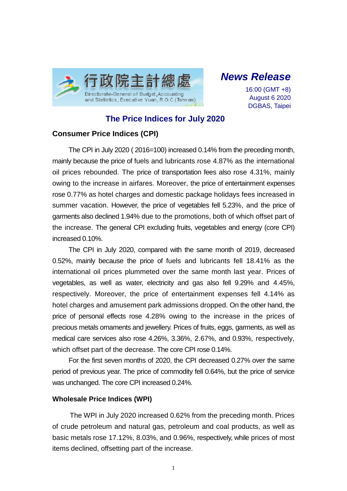

*News Release*

16:00 (GMT +8) August 6 2020 DGBAS, Taipei

# **The Price Indices for July 2020**

## **Consumer Price Indices (CPI)**

The CPI in July 2020 ( 2016=100) increased 0.14% from the preceding month, mainly because the price of fuels and lubricants rose 4.87% as the international oil prices rebounded. The price of transportation fees also rose 4.31%, mainly owing to the increase in airfares. Moreover, the price of entertainment expenses rose 0.77% as hotel charges and domestic package holidays fees increased in summer vacation. However, the price of vegetables fell 5.23%, and the price of garments also declined 1.94% due to the promotions, both of which offset part of the increase. The general CPI excluding fruits, vegetables and energy (core CPI) increased 0.10%.

The CPI in July 2020, compared with the same month of 2019, decreased 0.52%, mainly because the price of fuels and lubricants fell 18.41% as the international oil prices plummeted over the same month last year. Prices of vegetables, as well as water, electricity and gas also fell 9.29% and 4.45%, respectively. Moreover, the price of entertainment expenses fell 4.14% as hotel charges and amusement park admissions dropped. On the other hand, the price of personal effects rose 4.28% owing to the increase in the prices of precious metals ornaments and jewellery. Prices of fruits, eggs, garments, as well as medical care services also rose 4.26%, 3.36%, 2.67%, and 0.93%, respectively, which offset part of the decrease. The core CPI rose 0.14%.

For the first seven months of 2020, the CPI decreased 0.27% over the same period of previous year. The price of commodity fell 0.64%, but the price of service was unchanged. The core CPI increased 0.24%.

### **Wholesale Price Indices (WPI)**

The WPI in July 2020 increased 0.62% from the preceding month. Prices of crude petroleum and natural gas, petroleum and coal products, as well as basic metals rose 17.12%, 8.03%, and 0.96%, respectively, while prices of most items declined, offsetting part of the increase.